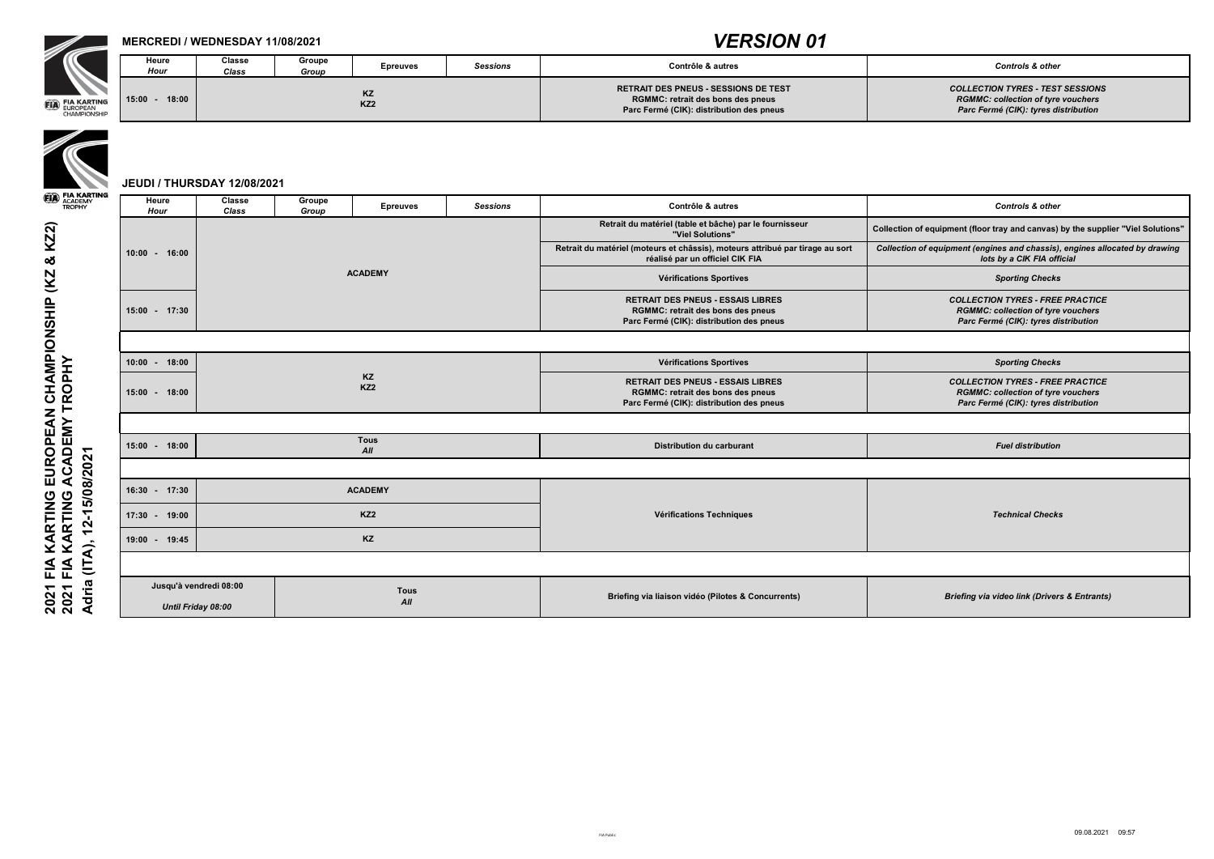

## **MERCREDI / WEDNESDAY 11/08/2021**

**Classe**  *Class*

**Groupe** 

*Group* **Epreuves** *Sessions* **Contrôle & autres** *Controls & other*

# **15:00 - 18:00**



**RETRAIT DES PNEUS - SESSIONS DE TEST RGMMC: retrait des bons des pneus Parc Fermé (CIK): distribution des pneus** 

*COLLECTION TYRES - TEST SESSIONS RGMMC: collection of tyre vouchers Parc Fermé (CIK): tyres distribution*

**JEUDI / THURSDAY 12/08/2021**

KZ2) **2021 FIA KARTING EUROPEAN CHAMPIONSHIP (KZ & KZ2)** 2021 FIA KARTING EUROPEAN CHAMPIONSHIP (KZ &<br>2021 FIA KARTING ACADEMY TROPHY<br>Adria (ITA), 12-15/08/2021 **2021 FIA KARTING ACADEMY TROPHY Adria (ITA), 12-15/08/2021**

| <b>Epreuves</b><br><b>Hour</b><br><b>Class</b><br>Group<br>Retrait du matériel (table et bâche) par le fournisseur<br>Collection of equipment (floor tray and canvas) by the supplier "Viel Solutions"<br>"Viel Solutions"<br>Retrait du matériel (moteurs et châssis), moteurs attribué par tirage au sort<br>Collection of equipment (engines and chassis), engines allocated by drawing<br>$10:00 - 16:00$<br>lots by a CIK FIA official<br>réalisé par un officiel CIK FIA<br><b>ACADEMY</b><br>Vérifications Sportives<br><b>Sporting Checks</b><br><b>RETRAIT DES PNEUS - ESSAIS LIBRES</b><br><b>COLLECTION TYRES - FREE PRACTICE</b><br>15:00 - 17:30<br><b>RGMMC: retrait des bons des pneus</b><br><b>RGMMC: collection of tyre vouchers</b><br>Parc Fermé (CIK): tyres distribution<br>Parc Fermé (CIK): distribution des pneus<br>$10:00 - 18:00$<br>Vérifications Sportives<br><b>Sporting Checks</b><br>KZ<br><b>RETRAIT DES PNEUS - ESSAIS LIBRES</b><br><b>COLLECTION TYRES - FREE PRACTICE</b><br>KZ <sub>2</sub><br>15:00 - 18:00<br><b>RGMMC: collection of tyre vouchers</b><br><b>RGMMC: retrait des bons des pneus</b><br>Parc Fermé (CIK): tyres distribution<br>Parc Fermé (CIK): distribution des pneus<br><b>Tous</b><br>15:00 - 18:00<br><b>Distribution du carburant</b><br><b>Fuel distribution</b><br>All<br><b>ACADEMY</b><br>$16:30 - 17:30$<br>KZ <sub>2</sub><br><b>Vérifications Techniques</b><br><b>Technical Checks</b><br>$17:30 - 19:00$<br>KZ<br>19:00 - 19:45<br>Jusqu'à vendredi 08:00<br><b>Tous</b><br>Briefing via liaison vidéo (Pilotes & Concurrents)<br><b>Briefing via video link (Drivers &amp; Entrants)</b><br>All<br><b>Until Friday 08:00</b> | <b>Heure</b> | <b>Classe</b> | <b>Groupe</b> |  |                 |                   |                             |  |
|-------------------------------------------------------------------------------------------------------------------------------------------------------------------------------------------------------------------------------------------------------------------------------------------------------------------------------------------------------------------------------------------------------------------------------------------------------------------------------------------------------------------------------------------------------------------------------------------------------------------------------------------------------------------------------------------------------------------------------------------------------------------------------------------------------------------------------------------------------------------------------------------------------------------------------------------------------------------------------------------------------------------------------------------------------------------------------------------------------------------------------------------------------------------------------------------------------------------------------------------------------------------------------------------------------------------------------------------------------------------------------------------------------------------------------------------------------------------------------------------------------------------------------------------------------------------------------------------------------------------------------------------------------------------------------------------------------|--------------|---------------|---------------|--|-----------------|-------------------|-----------------------------|--|
|                                                                                                                                                                                                                                                                                                                                                                                                                                                                                                                                                                                                                                                                                                                                                                                                                                                                                                                                                                                                                                                                                                                                                                                                                                                                                                                                                                                                                                                                                                                                                                                                                                                                                                       |              |               |               |  | <b>Sessions</b> | Contrôle & autres | <b>Controls &amp; other</b> |  |
|                                                                                                                                                                                                                                                                                                                                                                                                                                                                                                                                                                                                                                                                                                                                                                                                                                                                                                                                                                                                                                                                                                                                                                                                                                                                                                                                                                                                                                                                                                                                                                                                                                                                                                       |              |               |               |  |                 |                   |                             |  |
|                                                                                                                                                                                                                                                                                                                                                                                                                                                                                                                                                                                                                                                                                                                                                                                                                                                                                                                                                                                                                                                                                                                                                                                                                                                                                                                                                                                                                                                                                                                                                                                                                                                                                                       |              |               |               |  |                 |                   |                             |  |
|                                                                                                                                                                                                                                                                                                                                                                                                                                                                                                                                                                                                                                                                                                                                                                                                                                                                                                                                                                                                                                                                                                                                                                                                                                                                                                                                                                                                                                                                                                                                                                                                                                                                                                       |              |               |               |  |                 |                   |                             |  |
|                                                                                                                                                                                                                                                                                                                                                                                                                                                                                                                                                                                                                                                                                                                                                                                                                                                                                                                                                                                                                                                                                                                                                                                                                                                                                                                                                                                                                                                                                                                                                                                                                                                                                                       |              |               |               |  |                 |                   |                             |  |
|                                                                                                                                                                                                                                                                                                                                                                                                                                                                                                                                                                                                                                                                                                                                                                                                                                                                                                                                                                                                                                                                                                                                                                                                                                                                                                                                                                                                                                                                                                                                                                                                                                                                                                       |              |               |               |  |                 |                   |                             |  |
|                                                                                                                                                                                                                                                                                                                                                                                                                                                                                                                                                                                                                                                                                                                                                                                                                                                                                                                                                                                                                                                                                                                                                                                                                                                                                                                                                                                                                                                                                                                                                                                                                                                                                                       |              |               |               |  |                 |                   |                             |  |
|                                                                                                                                                                                                                                                                                                                                                                                                                                                                                                                                                                                                                                                                                                                                                                                                                                                                                                                                                                                                                                                                                                                                                                                                                                                                                                                                                                                                                                                                                                                                                                                                                                                                                                       |              |               |               |  |                 |                   |                             |  |
|                                                                                                                                                                                                                                                                                                                                                                                                                                                                                                                                                                                                                                                                                                                                                                                                                                                                                                                                                                                                                                                                                                                                                                                                                                                                                                                                                                                                                                                                                                                                                                                                                                                                                                       |              |               |               |  |                 |                   |                             |  |
|                                                                                                                                                                                                                                                                                                                                                                                                                                                                                                                                                                                                                                                                                                                                                                                                                                                                                                                                                                                                                                                                                                                                                                                                                                                                                                                                                                                                                                                                                                                                                                                                                                                                                                       |              |               |               |  |                 |                   |                             |  |
|                                                                                                                                                                                                                                                                                                                                                                                                                                                                                                                                                                                                                                                                                                                                                                                                                                                                                                                                                                                                                                                                                                                                                                                                                                                                                                                                                                                                                                                                                                                                                                                                                                                                                                       |              |               |               |  |                 |                   |                             |  |
|                                                                                                                                                                                                                                                                                                                                                                                                                                                                                                                                                                                                                                                                                                                                                                                                                                                                                                                                                                                                                                                                                                                                                                                                                                                                                                                                                                                                                                                                                                                                                                                                                                                                                                       |              |               |               |  |                 |                   |                             |  |
|                                                                                                                                                                                                                                                                                                                                                                                                                                                                                                                                                                                                                                                                                                                                                                                                                                                                                                                                                                                                                                                                                                                                                                                                                                                                                                                                                                                                                                                                                                                                                                                                                                                                                                       |              |               |               |  |                 |                   |                             |  |
|                                                                                                                                                                                                                                                                                                                                                                                                                                                                                                                                                                                                                                                                                                                                                                                                                                                                                                                                                                                                                                                                                                                                                                                                                                                                                                                                                                                                                                                                                                                                                                                                                                                                                                       |              |               |               |  |                 |                   |                             |  |
|                                                                                                                                                                                                                                                                                                                                                                                                                                                                                                                                                                                                                                                                                                                                                                                                                                                                                                                                                                                                                                                                                                                                                                                                                                                                                                                                                                                                                                                                                                                                                                                                                                                                                                       |              |               |               |  |                 |                   |                             |  |
|                                                                                                                                                                                                                                                                                                                                                                                                                                                                                                                                                                                                                                                                                                                                                                                                                                                                                                                                                                                                                                                                                                                                                                                                                                                                                                                                                                                                                                                                                                                                                                                                                                                                                                       |              |               |               |  |                 |                   |                             |  |
|                                                                                                                                                                                                                                                                                                                                                                                                                                                                                                                                                                                                                                                                                                                                                                                                                                                                                                                                                                                                                                                                                                                                                                                                                                                                                                                                                                                                                                                                                                                                                                                                                                                                                                       |              |               |               |  |                 |                   |                             |  |
|                                                                                                                                                                                                                                                                                                                                                                                                                                                                                                                                                                                                                                                                                                                                                                                                                                                                                                                                                                                                                                                                                                                                                                                                                                                                                                                                                                                                                                                                                                                                                                                                                                                                                                       |              |               |               |  |                 |                   |                             |  |
|                                                                                                                                                                                                                                                                                                                                                                                                                                                                                                                                                                                                                                                                                                                                                                                                                                                                                                                                                                                                                                                                                                                                                                                                                                                                                                                                                                                                                                                                                                                                                                                                                                                                                                       |              |               |               |  |                 |                   |                             |  |
|                                                                                                                                                                                                                                                                                                                                                                                                                                                                                                                                                                                                                                                                                                                                                                                                                                                                                                                                                                                                                                                                                                                                                                                                                                                                                                                                                                                                                                                                                                                                                                                                                                                                                                       |              |               |               |  |                 |                   |                             |  |
|                                                                                                                                                                                                                                                                                                                                                                                                                                                                                                                                                                                                                                                                                                                                                                                                                                                                                                                                                                                                                                                                                                                                                                                                                                                                                                                                                                                                                                                                                                                                                                                                                                                                                                       |              |               |               |  |                 |                   |                             |  |
|                                                                                                                                                                                                                                                                                                                                                                                                                                                                                                                                                                                                                                                                                                                                                                                                                                                                                                                                                                                                                                                                                                                                                                                                                                                                                                                                                                                                                                                                                                                                                                                                                                                                                                       |              |               |               |  |                 |                   |                             |  |

## *VERSION 01*

**Heure**  *Hour*

> **KZ KZ2**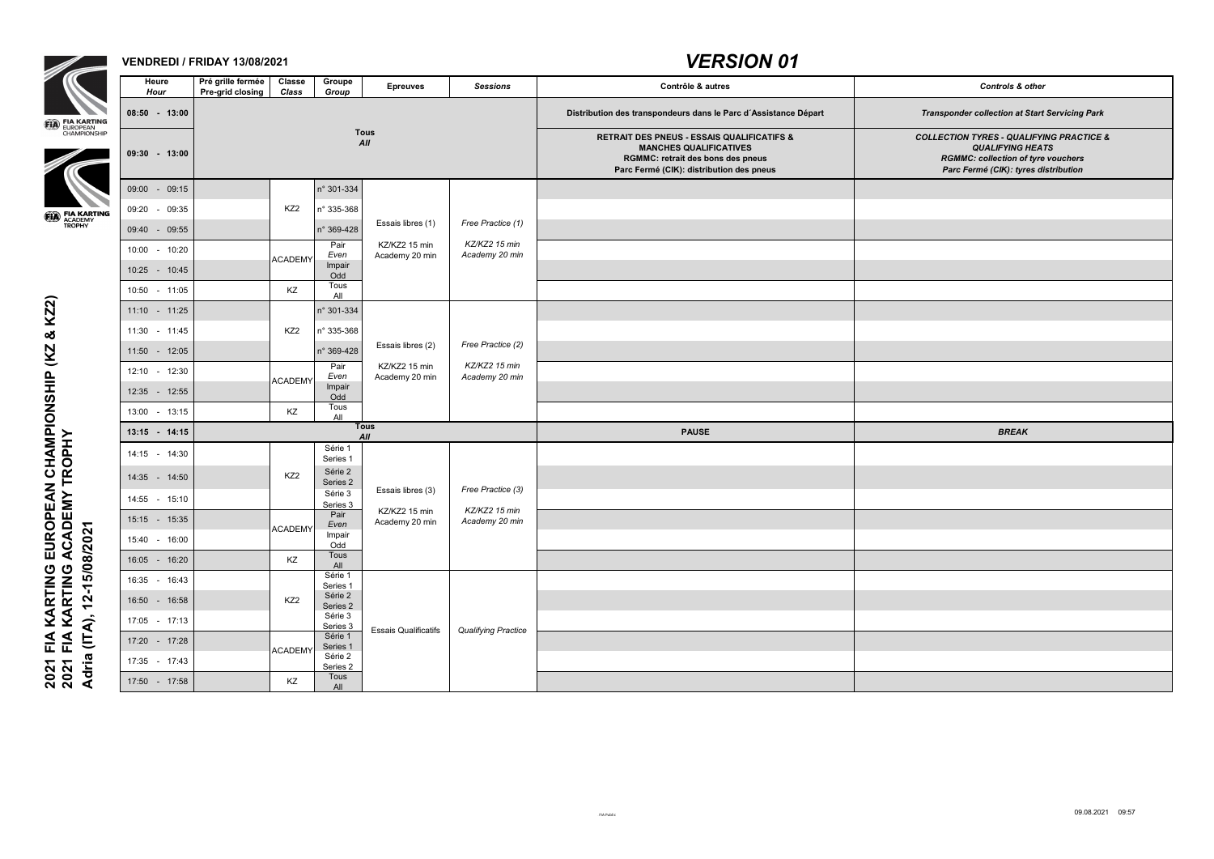

### **VENDREDI / FRIDAY 13/08/2021**

| Groupe<br>Group            | <b>Epreuves</b>                 | <b>Sessions</b>                 | Contrôle & autres                                                                                                                                                              | <b>Controls &amp; other</b>                                                                                                                                         |
|----------------------------|---------------------------------|---------------------------------|--------------------------------------------------------------------------------------------------------------------------------------------------------------------------------|---------------------------------------------------------------------------------------------------------------------------------------------------------------------|
|                            |                                 |                                 | Distribution des transpondeurs dans le Parc d'Assistance Départ                                                                                                                | <b>Transponder collection at Start Servicing Park</b>                                                                                                               |
|                            | <b>Tous</b><br>All              |                                 | <b>RETRAIT DES PNEUS - ESSAIS QUALIFICATIFS &amp;</b><br><b>MANCHES QUALIFICATIVES</b><br><b>RGMMC: retrait des bons des pneus</b><br>Parc Fermé (CIK): distribution des pneus | <b>COLLECTION TYRES - QUALIFYING PRACTICE &amp;</b><br><b>QUALIFYING HEATS</b><br><b>RGMMC: collection of tyre vouchers</b><br>Parc Fermé (CIK): tyres distribution |
| 301-334                    |                                 |                                 |                                                                                                                                                                                |                                                                                                                                                                     |
| 335-368                    |                                 |                                 |                                                                                                                                                                                |                                                                                                                                                                     |
| 369-428                    | Essais libres (1)               | Free Practice (1)               |                                                                                                                                                                                |                                                                                                                                                                     |
| Pair<br>Even               | KZ/KZ2 15 min<br>Academy 20 min | KZ/KZ2 15 min<br>Academy 20 min |                                                                                                                                                                                |                                                                                                                                                                     |
| Impair<br>Odd              |                                 |                                 |                                                                                                                                                                                |                                                                                                                                                                     |
| Tous<br>All                |                                 |                                 |                                                                                                                                                                                |                                                                                                                                                                     |
| $301 - 334$                |                                 |                                 |                                                                                                                                                                                |                                                                                                                                                                     |
| 335-368                    |                                 |                                 |                                                                                                                                                                                |                                                                                                                                                                     |
| 369-428                    | Essais libres (2)               | Free Practice (2)               |                                                                                                                                                                                |                                                                                                                                                                     |
| Pair<br>Even               | KZ/KZ2 15 min<br>Academy 20 min | KZ/KZ2 15 min<br>Academy 20 min |                                                                                                                                                                                |                                                                                                                                                                     |
| Impair<br>Odd              |                                 |                                 |                                                                                                                                                                                |                                                                                                                                                                     |
| Tous<br>All                |                                 |                                 |                                                                                                                                                                                |                                                                                                                                                                     |
|                            | <b>Tous</b><br>All              |                                 | <b>PAUSE</b>                                                                                                                                                                   | <b>BREAK</b>                                                                                                                                                        |
| Série 1<br>Series 1        |                                 |                                 |                                                                                                                                                                                |                                                                                                                                                                     |
| Série 2                    |                                 |                                 |                                                                                                                                                                                |                                                                                                                                                                     |
| Series 2<br>Série 3        | Essais libres (3)               | Free Practice (3)               |                                                                                                                                                                                |                                                                                                                                                                     |
| <u>Series 3</u><br>Pair    | KZ/KZ2 15 min                   | KZ/KZ2 15 min<br>Academy 20 min |                                                                                                                                                                                |                                                                                                                                                                     |
| Even<br>Impair             | Academy 20 min                  |                                 |                                                                                                                                                                                |                                                                                                                                                                     |
| Odd<br>Tous                |                                 |                                 |                                                                                                                                                                                |                                                                                                                                                                     |
| All<br>Série 1             |                                 |                                 |                                                                                                                                                                                |                                                                                                                                                                     |
| Series 1<br>Série 2        |                                 |                                 |                                                                                                                                                                                |                                                                                                                                                                     |
| Series 2<br>Série 3        |                                 |                                 |                                                                                                                                                                                |                                                                                                                                                                     |
| <u>Series 3</u><br>Série 1 | <b>Essais Qualificatifs</b>     | <b>Qualifying Practice</b>      |                                                                                                                                                                                |                                                                                                                                                                     |
| Series 1<br>Série 2        |                                 |                                 |                                                                                                                                                                                |                                                                                                                                                                     |
| <u>Series 2<br/>Tous</u>   |                                 |                                 |                                                                                                                                                                                |                                                                                                                                                                     |
| All                        |                                 |                                 |                                                                                                                                                                                |                                                                                                                                                                     |

2021 FIA KARTING EUROPEAN CHAMPIONSHIP (KZ & KZ2)<br>2021 FIA KARTING ACADEMY TROPHY<br>Adria (ITA), 12-15/08/2021 **2021 FIA KARTING EUROPEAN CHAMPIONSHIP (KZ & KZ2) 2021 FIA KARTING ACADEMY TROPHY Adria (ITA), 12-15/08/2021**

|                                                                                  | <b>Heure</b><br><b>Hour</b> | Pré grille fermée<br>Pre-grid closing | <b>Classe</b><br><b>Class</b> | <b>Groupe</b><br>Group  | <b>Epreuves</b>                 | <b>Sessions</b>                 | Contrôle & autres                                                                                                                                                              | <b>Controls &amp; other</b>                                                                                                                                     |
|----------------------------------------------------------------------------------|-----------------------------|---------------------------------------|-------------------------------|-------------------------|---------------------------------|---------------------------------|--------------------------------------------------------------------------------------------------------------------------------------------------------------------------------|-----------------------------------------------------------------------------------------------------------------------------------------------------------------|
|                                                                                  | 08:50 - 13:00               |                                       |                               |                         |                                 |                                 | Distribution des transpondeurs dans le Parc d'Assistance Départ                                                                                                                | <b>Transponder collection at Start Servicing Park</b>                                                                                                           |
| <b>ED</b> FIA KARTING<br>EUROPEAN<br>CHAMPIONSHIP                                | $09:30 - 13:00$             |                                       |                               |                         | <b>Tous</b><br>All              |                                 | <b>RETRAIT DES PNEUS - ESSAIS QUALIFICATIFS &amp;</b><br><b>MANCHES QUALIFICATIVES</b><br><b>RGMMC: retrait des bons des pneus</b><br>Parc Fermé (CIK): distribution des pneus | <b>COLLECTION TYRES - QUALIFYING PRACTICE .</b><br><b>QUALIFYING HEATS</b><br><b>RGMMC: collection of tyre vouchers</b><br>Parc Fermé (CIK): tyres distribution |
|                                                                                  | 09:00<br>$-09:15$           |                                       |                               | n° 301-334              |                                 |                                 |                                                                                                                                                                                |                                                                                                                                                                 |
|                                                                                  | 09:20<br>09:35              |                                       | KZ <sub>2</sub>               | n° 335-368              |                                 |                                 |                                                                                                                                                                                |                                                                                                                                                                 |
| <b>ED</b> FIA KARTING<br>TROPHY                                                  | 09:40 - 09:55               |                                       |                               | n° 369-428              | Essais libres (1)               | Free Practice (1)               |                                                                                                                                                                                |                                                                                                                                                                 |
|                                                                                  | $-10:20$<br>10:00           |                                       |                               | Pair<br>Even            | KZ/KZ2 15 min<br>Academy 20 min | KZ/KZ2 15 min<br>Academy 20 min |                                                                                                                                                                                |                                                                                                                                                                 |
|                                                                                  | 10:25 - 10:45               |                                       | <b>ACADEMY</b>                | Impair<br>Odd           |                                 |                                 |                                                                                                                                                                                |                                                                                                                                                                 |
|                                                                                  | 10:50 - 11:05               |                                       | KZ                            | Tous<br>All             |                                 |                                 |                                                                                                                                                                                |                                                                                                                                                                 |
| <b>KZ2</b>                                                                       | 11:10 - 11:25               |                                       |                               | n° 301-334              |                                 |                                 |                                                                                                                                                                                |                                                                                                                                                                 |
| $\infty$                                                                         | 11:30 - 11:45               |                                       | KZ <sub>2</sub>               | n° 335-368              |                                 |                                 |                                                                                                                                                                                |                                                                                                                                                                 |
| (KZ)                                                                             | $-12:05$<br>11:50           |                                       |                               | n° 369-428              | Essais libres (2)               | Free Practice (2)               |                                                                                                                                                                                |                                                                                                                                                                 |
| $\mathbf{\underline{a}}$                                                         | 12:30<br>12:10<br>$\sim$    |                                       |                               | Pair<br>Even            | KZ/KZ2 15 min<br>Academy 20 min | KZ/KZ2 15 min<br>Academy 20 min |                                                                                                                                                                                |                                                                                                                                                                 |
|                                                                                  | 12:35 - 12:55               |                                       | <b>ACADEMY</b>                | Impair<br>Odd           |                                 |                                 |                                                                                                                                                                                |                                                                                                                                                                 |
|                                                                                  | 13:00 - 13:15               |                                       | KZ                            | Tous<br>All             |                                 |                                 |                                                                                                                                                                                |                                                                                                                                                                 |
|                                                                                  | $13:15 - 14:15$             |                                       |                               |                         | <b>Tous</b><br>All              |                                 | <b>PAUSE</b>                                                                                                                                                                   | <b>BREAK</b>                                                                                                                                                    |
|                                                                                  | 14:15 - 14:30               |                                       |                               | Série 1<br>Series 1     |                                 |                                 |                                                                                                                                                                                |                                                                                                                                                                 |
|                                                                                  | 14:35 - 14:50               |                                       | KZ <sub>2</sub>               | Série 2                 |                                 |                                 |                                                                                                                                                                                |                                                                                                                                                                 |
|                                                                                  | 14:55 - 15:10               |                                       |                               | Series 2<br>Série 3     | Essais libres (3)               | Free Practice (3)               |                                                                                                                                                                                |                                                                                                                                                                 |
|                                                                                  | 15:15 - 15:35               |                                       |                               | Series 3<br>Pair        | KZ/KZ2 15 min<br>Academy 20 min | KZ/KZ2 15 min<br>Academy 20 min |                                                                                                                                                                                |                                                                                                                                                                 |
|                                                                                  | 15:40 - 16:00               |                                       | <b>ACADEMY</b>                | Even<br>Impair          |                                 |                                 |                                                                                                                                                                                |                                                                                                                                                                 |
| 15/08/2021                                                                       | 16:05 - 16:20               |                                       | KZ                            | Odd<br>Tous             |                                 |                                 |                                                                                                                                                                                |                                                                                                                                                                 |
|                                                                                  | 16:35 - 16:43               |                                       |                               | <b>All</b><br>Série 1   |                                 |                                 |                                                                                                                                                                                |                                                                                                                                                                 |
| $\overline{2}$                                                                   | 16:50 - 16:58               |                                       | KZ <sub>2</sub>               | Series 1<br>Série 2     |                                 |                                 |                                                                                                                                                                                |                                                                                                                                                                 |
|                                                                                  | 17:05 - 17:13               |                                       |                               | Series 2<br>Série 3     |                                 |                                 |                                                                                                                                                                                |                                                                                                                                                                 |
| $\widehat{\mathcal{A}}$<br>$\overline{E}$                                        | 17:20 - 17:28               |                                       |                               | Series 3<br>Série 1     | <b>Essais Qualificatifs</b>     | <b>Qualifying Practice</b>      |                                                                                                                                                                                |                                                                                                                                                                 |
|                                                                                  | 17:35 - 17:43               |                                       | <b>ACADEMY</b>                | Series 1<br>Série 2     |                                 |                                 |                                                                                                                                                                                |                                                                                                                                                                 |
| 2021 FIA KARTING EUROPEAN CHAMPIONSH<br>2021 FIA KARTING ACADEMY TROPHY<br>Adria | 17:50 - 17:58               |                                       | KZ                            | Series 2<br>Tous<br>All |                                 |                                 |                                                                                                                                                                                |                                                                                                                                                                 |
|                                                                                  |                             |                                       |                               |                         |                                 |                                 |                                                                                                                                                                                |                                                                                                                                                                 |

## *VERSION 01*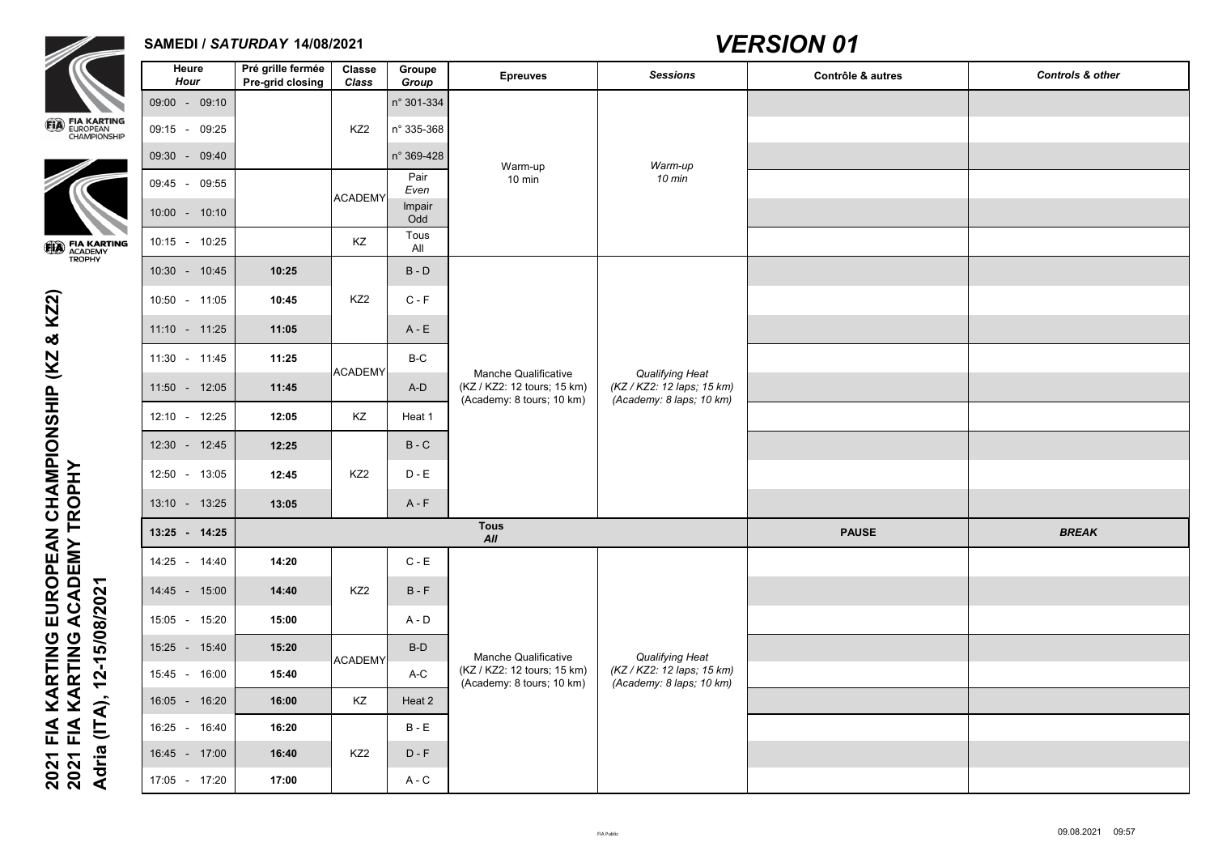

### **SAMEDI /** *SATURDAY* **14/08/2021**



| $\overline{\phantom{a}}$                          | <b>Heure</b><br><b>Hour</b>  | Pré grille fermée<br><b>Pre-grid closing</b> | <b>Classe</b><br><b>Class</b> | <b>Groupe</b><br>Group | <b>Epreuves</b>                                                                         | <b>Sessions</b>                                                                  | Contrôle & autres | <b>Controls &amp; other</b> |
|---------------------------------------------------|------------------------------|----------------------------------------------|-------------------------------|------------------------|-----------------------------------------------------------------------------------------|----------------------------------------------------------------------------------|-------------------|-----------------------------|
|                                                   | 09:00 - 09:10                |                                              |                               | n° 301-334             |                                                                                         |                                                                                  |                   |                             |
| <b>ED FIA KARTING</b><br>EUROPEAN<br>CHAMPIONSHIP | 09:15 - 09:25                |                                              | KZ <sub>2</sub>               | n° 335-368             |                                                                                         |                                                                                  |                   |                             |
|                                                   | 09:30 - 09:40                |                                              |                               | n° 369-428             | Warm-up                                                                                 | Warm-up                                                                          |                   |                             |
|                                                   | 09:45 - 09:55                |                                              | <b>ACADEMY</b>                | Pair<br>Even           | $10 \text{ min}$                                                                        | 10 min                                                                           |                   |                             |
|                                                   | $10:00 - 10:10$              |                                              |                               | Impair<br>Odd          |                                                                                         |                                                                                  |                   |                             |
| <b>ED</b> FIA KARTING<br>TROPHY                   | 10:25<br>$10:15 -$           |                                              | KZ                            | Tous<br>All            |                                                                                         |                                                                                  |                   |                             |
|                                                   | 10:30 - 10:45                | 10:25                                        |                               | $B - D$                |                                                                                         |                                                                                  |                   |                             |
| KZ2)                                              | 10:50 - 11:05                | 10:45                                        | KZ <sub>2</sub>               | $C - F$                |                                                                                         |                                                                                  |                   |                             |
|                                                   | $11:10 - 11:25$              | 11:05                                        |                               | $A - E$                |                                                                                         | <b>Qualifying Heat</b><br>(KZ / KZ2: 12 laps; 15 km)<br>(Academy: 8 laps; 10 km) |                   |                             |
| $\infty$<br>K <sub>2</sub>                        | 11:30 - 11:45                | 11:25                                        |                               | $B-C$                  |                                                                                         |                                                                                  |                   |                             |
|                                                   | 11:50 - 12:05                | 11:45                                        | <b>ACADEMY</b>                | $A-D$                  | <b>Manche Qualificative</b><br>(KZ / KZ2: 12 tours; 15 km)<br>(Academy: 8 tours; 10 km) |                                                                                  |                   |                             |
| ONSHIP                                            | 12:10 - 12:25                | 12:05                                        | KZ                            | Heat 1                 |                                                                                         |                                                                                  |                   |                             |
|                                                   | $12:30 - 12:45$              | 12:25                                        |                               | $B - C$                |                                                                                         |                                                                                  |                   |                             |
|                                                   | 12:50 - 13:05                | 12:45                                        | KZ <sub>2</sub>               | $D - E$                |                                                                                         |                                                                                  |                   |                             |
|                                                   | 13:10 - 13:25                | 13:05                                        |                               | $A - F$                |                                                                                         |                                                                                  |                   |                             |
|                                                   | 13:25 - 14:25                |                                              |                               |                        | <b>Tous</b><br>All                                                                      | <b>PAUSE</b>                                                                     | <b>BREAK</b>      |                             |
| EUROPEAN CHAMPI<br>ACADEMY TROPHY                 | 14:25 - 14:40                | 14:20                                        |                               | $C - E$                |                                                                                         |                                                                                  |                   |                             |
|                                                   | 14:45 - 15:00                | 14:40                                        | KZ <sub>2</sub>               | $B - F$                |                                                                                         |                                                                                  |                   |                             |
| 15/08/2021                                        | 15:05 - 15:20                | 15:00                                        |                               | $A - D$                |                                                                                         |                                                                                  |                   |                             |
| KARTING<br>KARTING                                | 15:25 - 15:40                | 15:20                                        |                               | $B-D$                  |                                                                                         |                                                                                  |                   |                             |
| <b>12-</b>                                        | 15:45 - 16:00                | 15:40                                        | <b>ACADEMY</b>                | $A-C$                  | <b>Manche Qualificative</b><br>(KZ / KZ2: 12 tours; 15 km)<br>(Academy: 8 tours; 10 km) | <b>Qualifying Heat</b><br>(KZ / KZ2: 12 laps; 15 km)<br>(Academy: 8 laps; 10 km) |                   |                             |
|                                                   | 16:05 - 16:20                | 16:00                                        | KZ                            | Heat 2                 |                                                                                         |                                                                                  |                   |                             |
| (ITA),<br>FIA<br>FIA                              | 16:40<br>16:25<br>$\sim$ $-$ | 16:20                                        |                               | $B - E$                |                                                                                         |                                                                                  |                   |                             |
|                                                   | 16:45 - 17:00                | 16:40                                        | KZ <sub>2</sub>               | $D - F$                |                                                                                         |                                                                                  |                   |                             |
| <b>Adria</b><br>2021<br>2021                      | 17:05 - 17:20                | 17:00                                        |                               | $A - C$                |                                                                                         |                                                                                  |                   |                             |

| Contrôle & autres | <b>Controls &amp; other</b> |
|-------------------|-----------------------------|
|                   |                             |
|                   |                             |
|                   |                             |
|                   |                             |
|                   |                             |
|                   |                             |
|                   |                             |
|                   |                             |
|                   |                             |
|                   |                             |
|                   |                             |
|                   |                             |
|                   |                             |
|                   |                             |
|                   |                             |
| <b>PAUSE</b>      | <b>BREAK</b>                |
|                   |                             |
|                   |                             |
|                   |                             |
|                   |                             |
|                   |                             |
|                   |                             |
|                   |                             |
|                   |                             |
|                   |                             |